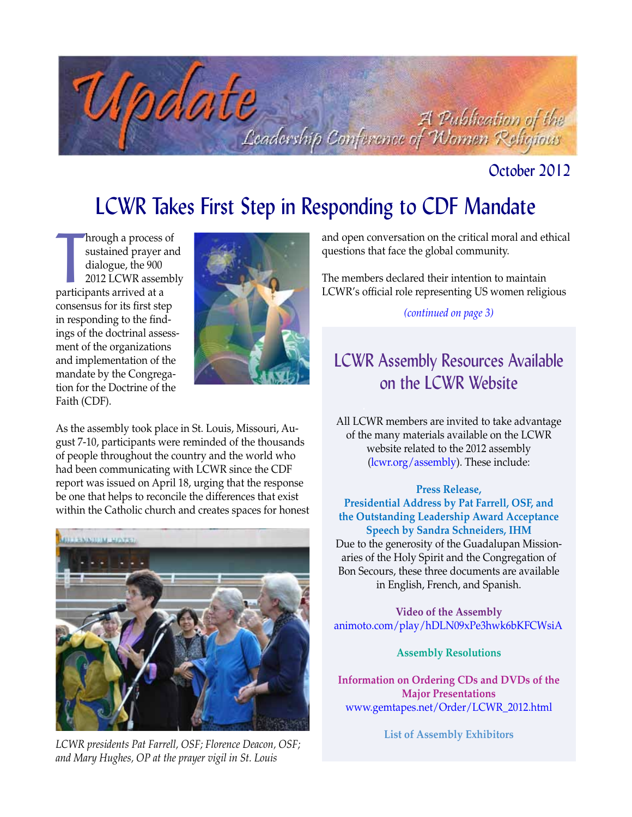

### October 2012

# LCWR Takes First Step in Responding to CDF Mandate

hrough a process of<br>sustained prayer a<br>dialogue, the 900<br>2012 LCWR assem<br>participants arrived at a hrough a process of sustained prayer and dialogue, the 900 2012 LCWR assembly consensus for its first step in responding to the findings of the doctrinal assessment of the organizations and implementation of the mandate by the Congregation for the Doctrine of the Faith (CDF).



As the assembly took place in St. Louis, Missouri, August 7-10, participants were reminded of the thousands of people throughout the country and the world who had been communicating with LCWR since the CDF report was issued on April 18, urging that the response be one that helps to reconcile the differences that exist within the Catholic church and creates spaces for honest



*LCWR presidents Pat Farrell, OSF; Florence Deacon, OSF; and Mary Hughes, OP at the prayer vigil in St. Louis*

and open conversation on the critical moral and ethical questions that face the global community.

The members declared their intention to maintain LCWR's official role representing US women religious

#### *(continued on page 3)*

# LCWR Assembly Resources Available on the LCWR Website

All LCWR members are invited to take advantage of the many materials available on the LCWR website related to the 2012 assembly [\(lcwr.org/assembly\).](http://www.lcwr.org/assembly) These include:

#### **Press Release,**

**Presidential Address by Pat Farrell, OSF, and the Outstanding Leadership Award Acceptance Speech by Sandra Schneiders, IHM** Due to the generosity of the Guadalupan Missionaries of the Holy Spirit and the Congregation of Bon Secours, these three documents are available in English, French, and Spanish.

**Video of the Assembly** [animoto.com/play/hDLN09xPe3hwk6bKFCWsiA](http://animoto.com/play/hDLN09xPe3hwk6bKFCWsiA)

**Assembly Resolutions**

**Information on Ordering CDs and DVDs of the Major Presentations** www.gemtapes.net/Order/LCWR\_2012.html

**List of Assembly Exhibitors**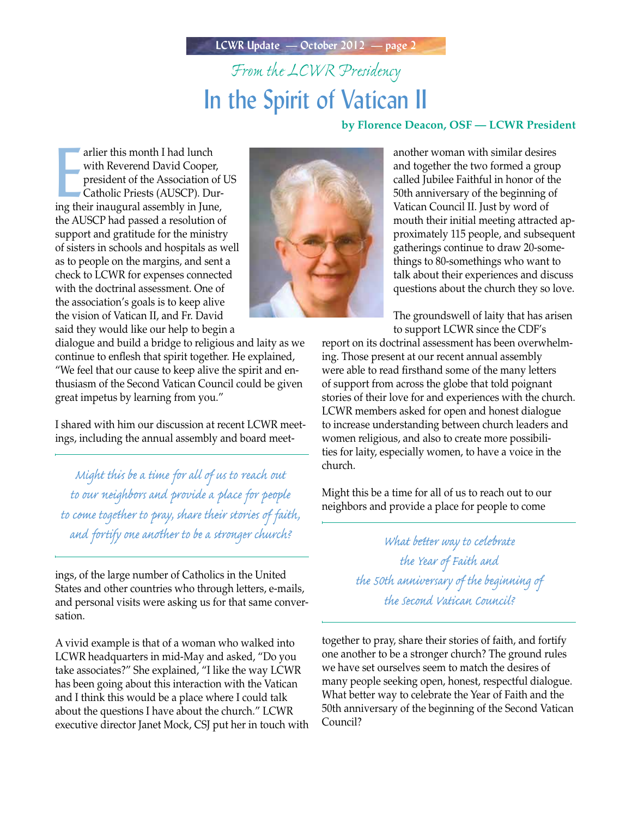**LCWR Update — October 2012 — page 2**

# *From the LCWR Presidency* In the Spirit of Vatican II

#### **by Florence Deacon, OSF — LCWR President**

arlier this month I had lunch<br>with Reverend David Cooper,<br>president of the Association of<br>Catholic Priests (AUSCP). Dur-<br>ing their inaugural assembly in June, arlier this month I had lunch with Reverend David Cooper, president of the Association of US Catholic Priests (AUSCP). Durthe AUSCP had passed a resolution of support and gratitude for the ministry of sisters in schools and hospitals as well as to people on the margins, and sent a check to LCWR for expenses connected with the doctrinal assessment. One of the association's goals is to keep alive the vision of Vatican II, and Fr. David said they would like our help to begin a



another woman with similar desires and together the two formed a group called Jubilee Faithful in honor of the 50th anniversary of the beginning of Vatican Council II. Just by word of mouth their initial meeting attracted approximately 115 people, and subsequent gatherings continue to draw 20-somethings to 80-somethings who want to talk about their experiences and discuss questions about the church they so love.

The groundswell of laity that has arisen to support LCWR since the CDF's

report on its doctrinal assessment has been overwhelming. Those present at our recent annual assembly were able to read firsthand some of the many letters of support from across the globe that told poignant stories of their love for and experiences with the church. LCWR members asked for open and honest dialogue to increase understanding between church leaders and women religious, and also to create more possibilities for laity, especially women, to have a voice in the church.

Might this be a time for all of us to reach out to our neighbors and provide a place for people to come

> *the Year of Faith and the 50th anniversary of the beginning of the Second Vatican Council?*

together to pray, share their stories of faith, and fortify one another to be a stronger church? The ground rules we have set ourselves seem to match the desires of many people seeking open, honest, respectful dialogue. What better way to celebrate the Year of Faith and the 50th anniversary of the beginning of the Second Vatican Council?

dialogue and build a bridge to religious and laity as we continue to enflesh that spirit together. He explained, "We feel that our cause to keep alive the spirit and enthusiasm of the Second Vatican Council could be given great impetus by learning from you."

I shared with him our discussion at recent LCWR meetings, including the annual assembly and board meet-

*Might this be a time for all of us to reach out to our neighbors and provide a place for people to come together to pray, share their stories of faith, and fortify one another to be a stronger church? What better way to celebrate* 

ings, of the large number of Catholics in the United States and other countries who through letters, e-mails, and personal visits were asking us for that same conversation.

A vivid example is that of a woman who walked into LCWR headquarters in mid-May and asked, "Do you take associates?" She explained, "I like the way LCWR has been going about this interaction with the Vatican and I think this would be a place where I could talk about the questions I have about the church." LCWR executive director Janet Mock, CSJ put her in touch with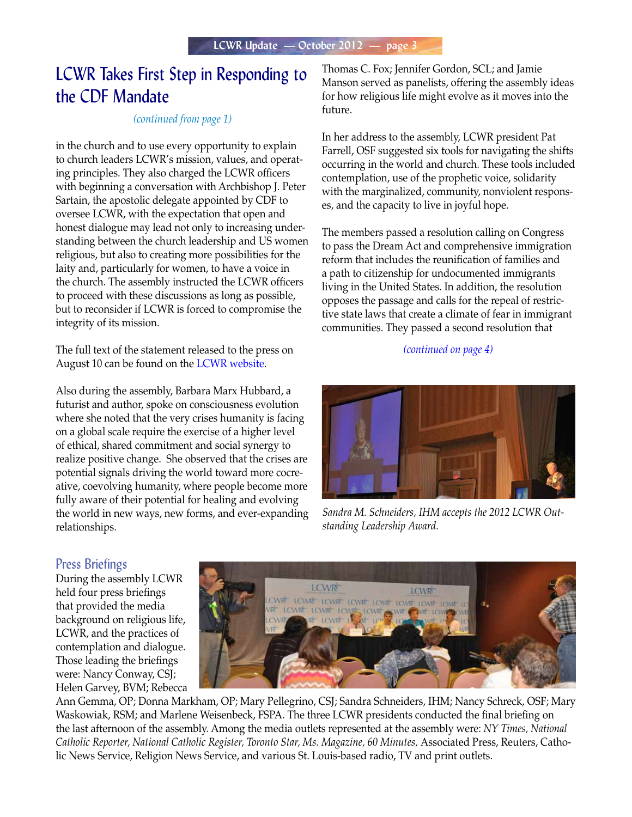# LCWR Takes First Step in Responding to the CDF Mandate

#### *(continued from page 1)*

in the church and to use every opportunity to explain to church leaders LCWR's mission, values, and operating principles. They also charged the LCWR officers with beginning a conversation with Archbishop J. Peter Sartain, the apostolic delegate appointed by CDF to oversee LCWR, with the expectation that open and honest dialogue may lead not only to increasing understanding between the church leadership and US women religious, but also to creating more possibilities for the laity and, particularly for women, to have a voice in the church. The assembly instructed the LCWR officers to proceed with these discussions as long as possible, but to reconsider if LCWR is forced to compromise the integrity of its mission.

The full text of the statement released to the press on August 10 can be found on the [LCWR website.](http://www.lcwr.org/assembly)

Also during the assembly, Barbara Marx Hubbard, a futurist and author, spoke on consciousness evolution where she noted that the very crises humanity is facing on a global scale require the exercise of a higher level of ethical, shared commitment and social synergy to realize positive change. She observed that the crises are potential signals driving the world toward more cocreative, coevolving humanity, where people become more fully aware of their potential for healing and evolving the world in new ways, new forms, and ever-expanding relationships.

Thomas C. Fox; Jennifer Gordon, SCL; and Jamie Manson served as panelists, offering the assembly ideas for how religious life might evolve as it moves into the future.

In her address to the assembly, LCWR president Pat Farrell, OSF suggested six tools for navigating the shifts occurring in the world and church. These tools included contemplation, use of the prophetic voice, solidarity with the marginalized, community, nonviolent responses, and the capacity to live in joyful hope.

The members passed a resolution calling on Congress to pass the Dream Act and comprehensive immigration reform that includes the reunification of families and a path to citizenship for undocumented immigrants living in the United States. In addition, the resolution opposes the passage and calls for the repeal of restrictive state laws that create a climate of fear in immigrant communities. They passed a second resolution that

#### *(continued on page 4)*



*Sandra M. Schneiders, IHM accepts the 2012 LCWR Outstanding Leadership Award.*

#### Press Briefings

During the assembly LCWR held four press briefings that provided the media background on religious life, LCWR, and the practices of contemplation and dialogue. Those leading the briefings were: Nancy Conway, CSJ; Helen Garvey, BVM; Rebecca



Ann Gemma, OP; Donna Markham, OP; Mary Pellegrino, CSJ; Sandra Schneiders, IHM; Nancy Schreck, OSF; Mary Waskowiak, RSM; and Marlene Weisenbeck, FSPA. The three LCWR presidents conducted the final briefing on the last afternoon of the assembly. Among the media outlets represented at the assembly were: *NY Times, National Catholic Reporter, National Catholic Register, Toronto Star, Ms. Magazine, 60 Minutes,* Associated Press, Reuters, Catholic News Service, Religion News Service, and various St. Louis-based radio, TV and print outlets.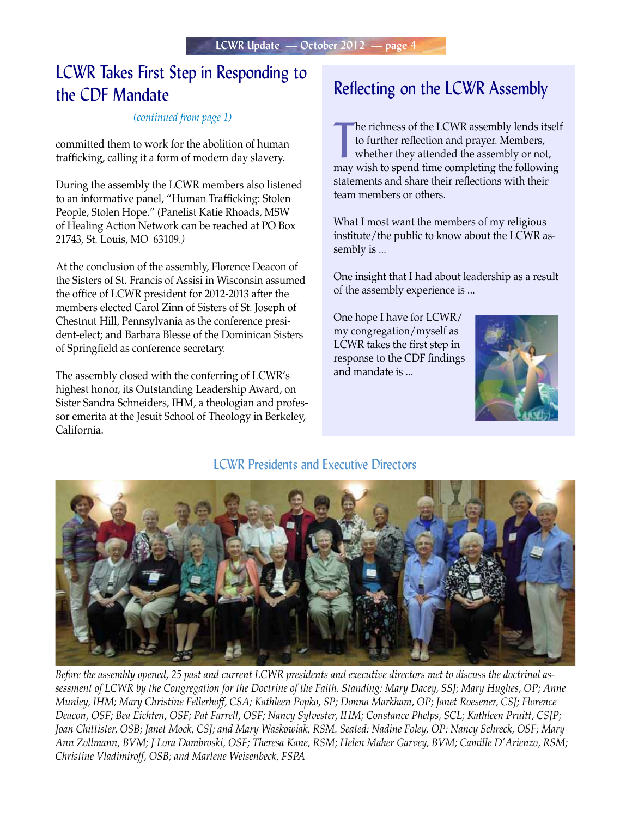# LCWR Takes First Step in Responding to the CDF Mandate

#### *(continued from page 1)*

committed them to work for the abolition of human trafficking, calling it a form of modern day slavery.

During the assembly the LCWR members also listened to an informative panel, "Human Trafficking: Stolen People, Stolen Hope." (Panelist Katie Rhoads, MSW of Healing Action Network can be reached at PO Box 21743, St. Louis, MO 63109*.)*

At the conclusion of the assembly, Florence Deacon of the Sisters of St. Francis of Assisi in Wisconsin assumed the office of LCWR president for 2012-2013 after the members elected Carol Zinn of Sisters of St. Joseph of Chestnut Hill, Pennsylvania as the conference president-elect; and Barbara Blesse of the Dominican Sisters of Springfield as conference secretary.

The assembly closed with the conferring of LCWR's highest honor, its Outstanding Leadership Award, on Sister Sandra Schneiders, IHM, a theologian and professor emerita at the Jesuit School of Theology in Berkeley, California.

### Reflecting on the LCWR Assembly

The richness of the LCWR assembly lends itself<br>to further reflection and prayer. Members,<br>whether they attended the assembly or not,<br>may wish to spend time completing the following he richness of the LCWR assembly lends itself to further reflection and prayer. Members, whether they attended the assembly or not, statements and share their reflections with their team members or others.

What I most want the members of my religious institute/the public to know about the LCWR assembly is ...

One insight that I had about leadership as a result of the assembly experience is ...

One hope I have for LCWR/ my congregation/myself as LCWR takes the first step in response to the CDF findings and mandate is ...



#### LCWR Presidents and Executive Directors



*Before the assembly opened, 25 past and current LCWR presidents and executive directors met to discuss the doctrinal assessment of LCWR by the Congregation for the Doctrine of the Faith. Standing: Mary Dacey, SSJ; Mary Hughes, OP; Anne Munley, IHM; Mary Christine Fellerhoff, CSA; Kathleen Popko, SP; Donna Markham, OP; Janet Roesener, CSJ; Florence Deacon, OSF; Bea Eichten, OSF; Pat Farrell, OSF; Nancy Sylvester, IHM; Constance Phelps, SCL; Kathleen Pruitt, CSJP; Joan Chittister, OSB; Janet Mock, CSJ; and Mary Waskowiak, RSM. Seated: Nadine Foley, OP; Nancy Schreck, OSF; Mary Ann Zollmann, BVM; J Lora Dambroski, OSF; Theresa Kane, RSM; Helen Maher Garvey, BVM; Camille D'Arienzo, RSM; Christine Vladimiroff, OSB; and Marlene Weisenbeck, FSPA*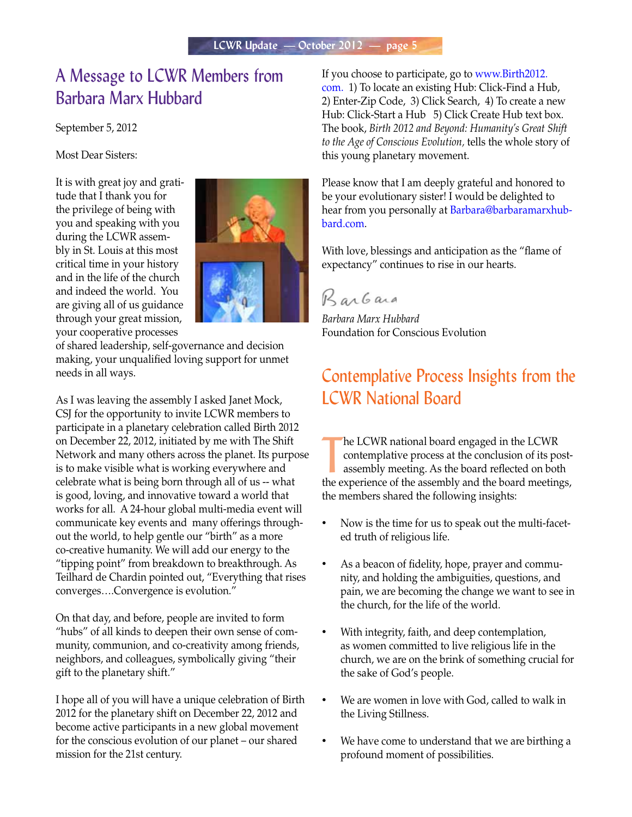### A Message to LCWR Members from Barbara Marx Hubbard

September 5, 2012

Most Dear Sisters:

It is with great joy and gratitude that I thank you for the privilege of being with you and speaking with you during the LCWR assembly in St. Louis at this most critical time in your history and in the life of the church and indeed the world. You are giving all of us guidance through your great mission, your cooperative processes



of shared leadership, self-governance and decision making, your unqualified loving support for unmet needs in all ways.

As I was leaving the assembly I asked Janet Mock, CSJ for the opportunity to invite LCWR members to participate in a planetary celebration called Birth 2012 on December 22, 2012, initiated by me with The Shift Network and many others across the planet. Its purpose is to make visible what is working everywhere and celebrate what is being born through all of us -- what is good, loving, and innovative toward a world that works for all. A 24-hour global multi-media event will communicate key events and many offerings throughout the world, to help gentle our "birth" as a more co-creative humanity. We will add our energy to the "tipping point" from breakdown to breakthrough. As Teilhard de Chardin pointed out, "Everything that rises converges….Convergence is evolution."

On that day, and before, people are invited to form "hubs" of all kinds to deepen their own sense of community, communion, and co-creativity among friends, neighbors, and colleagues, symbolically giving "their gift to the planetary shift."

I hope all of you will have a unique celebration of Birth 2012 for the planetary shift on December 22, 2012 and become active participants in a new global movement for the conscious evolution of our planet – our shared mission for the 21st century.

[If you choose to participate, go to www.Birth2012.](http://www.Birth2012.com) com. 1) To locate an existing Hub: Click-Find a Hub, 2) Enter-Zip Code, 3) Click Search, 4) To create a new Hub: Click-Start a Hub 5) Click Create Hub text box. The book, *Birth 2012 and Beyond: Humanity's Great Shift to the Age of Conscious Evolution,* tells the whole story of this young planetary movement.

Please know that I am deeply grateful and honored to be your evolutionary sister! I would be delighted to hear from you personally at Barbara@barbaramarxhubbard.com.

With love, blessings and anticipation as the "flame of expectancy" continues to rise in our hearts.

Barbara

*Barbara Marx Hubbard* Foundation for Conscious Evolution

### Contemplative Process Insights from the LCWR National Board

The LCWR national board engaged in the LCWR<br>
contemplative process at the conclusion of its post-<br>
assembly meeting. As the board reflected on both<br>
the experience of the assembly and the board meetings, he LCWR national board engaged in the LCWR contemplative process at the conclusion of its postassembly meeting. As the board reflected on both the members shared the following insights:

- Now is the time for us to speak out the multi-faceted truth of religious life.
- As a beacon of fidelity, hope, prayer and community, and holding the ambiguities, questions, and pain, we are becoming the change we want to see in the church, for the life of the world.
- With integrity, faith, and deep contemplation, as women committed to live religious life in the church, we are on the brink of something crucial for the sake of God's people.
- We are women in love with God, called to walk in the Living Stillness.
- We have come to understand that we are birthing a profound moment of possibilities.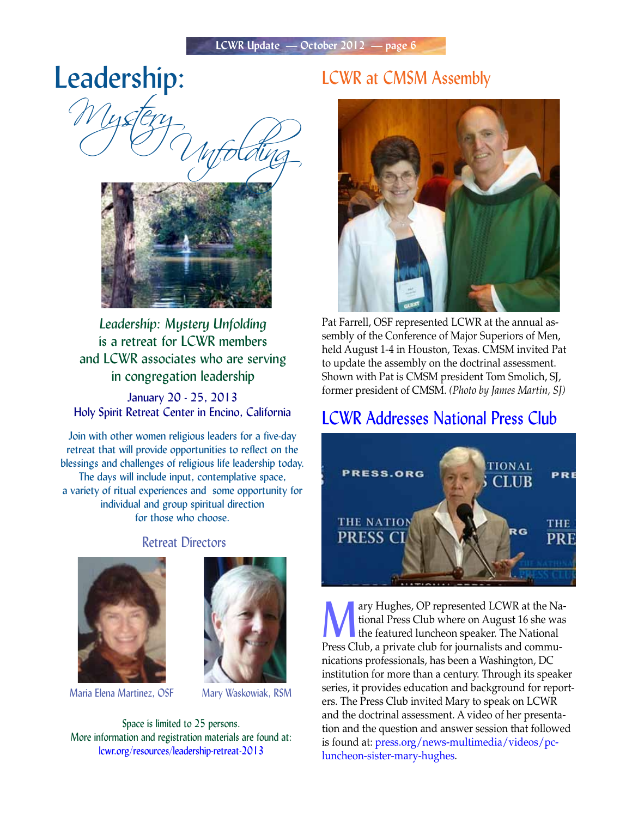# Leadership:

Wystery<br>O Myfolding



*Leadership: Mystery Unfolding* is a retreat for LCWR members and LCWR associates who are serving in congregation leadership

January 20 - 25, 2013 Holy Spirit Retreat Center in Encino, California

Join with other women religious leaders for a five-day retreat that will provide opportunities to reflect on the blessings and challenges of religious life leadership today. The days will include input, contemplative space, a variety of ritual experiences and some opportunity for individual and group spiritual direction for those who choose.

#### Retreat Directors





Maria Elena Martinez, OSF Mary Waskowiak, RSM

Space is limited to 25 persons. More information and registration materials are found at: [lcwr.org/resources/leadership-retreat-2013](http://lcwr.org/resources/leadership-retreat-2013)

### LCWR at CMSM Assembly



Pat Farrell, OSF represented LCWR at the annual assembly of the Conference of Major Superiors of Men, held August 1-4 in Houston, Texas. CMSM invited Pat to update the assembly on the doctrinal assessment. Shown with Pat is CMSM president Tom Smolich, SJ, former president of CMSM. *(Photo by James Martin, SJ)*

### LCWR Addresses National Press Club



ary Hughes, OP represented LCWR at the Na-<br>tional Press Club where on August 16 she was<br>the featured luncheon speaker. The National tional Press Club where on August 16 she was the featured luncheon speaker. The National Press Club, a private club for journalists and communications professionals, has been a Washington, DC institution for more than a century. Through its speaker series, it provides education and background for reporters. The Press Club invited Mary to speak on LCWR and the doctrinal assessment. A video of her presentation and the question and answer session that followed [is found at: press.org/news-multimedia/videos/pc](http://press.org/news-multimedia/videos/pc-luncheon-sister-mary-hughes)luncheon-sister-mary-hughes.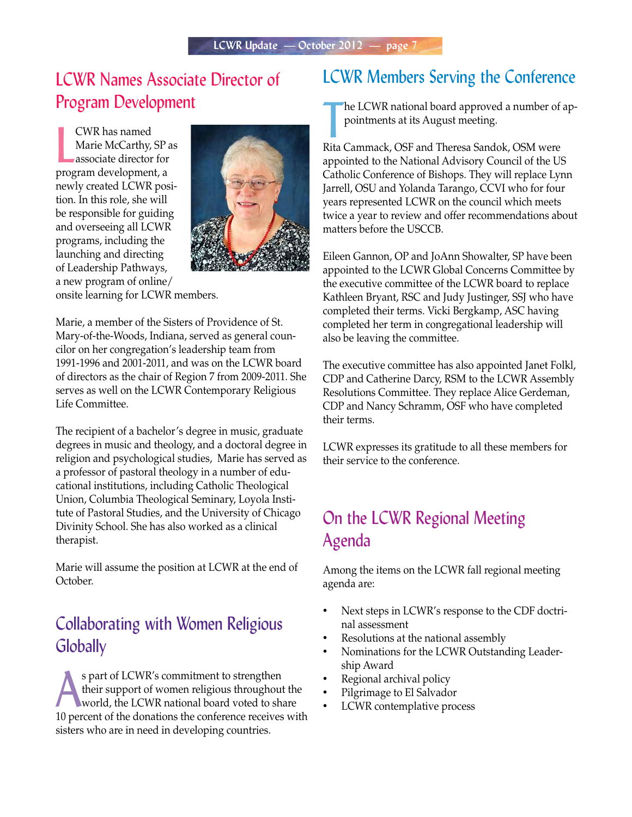## LCWR Names Associate Director of Program Development

**EVR** has named<br>Marie McCarthy, SP a<br>associate director for<br>program development, a CWR has named Marie McCarthy, SP as associate director for newly created LCWR position. In this role, she will be responsible for guiding and overseeing all LCWR programs, including the launching and directing of Leadership Pathways, a new program of online/



onsite learning for LCWR members.

Marie, a member of the Sisters of Providence of St. Mary-of-the-Woods, Indiana, served as general councilor on her congregation's leadership team from 1991-1996 and 2001-2011, and was on the LCWR board of directors as the chair of Region 7 from 2009-2011. She serves as well on the LCWR Contemporary Religious Life Committee.

The recipient of a bachelor's degree in music, graduate degrees in music and theology, and a doctoral degree in religion and psychological studies, Marie has served as a professor of pastoral theology in a number of educational institutions, including Catholic Theological Union, Columbia Theological Seminary, Loyola Institute of Pastoral Studies, and the University of Chicago Divinity School. She has also worked as a clinical therapist.

Marie will assume the position at LCWR at the end of October.

## Collaborating with Women Religious **Globally**

s part of LCWR's commitment to strengthen<br>their support of women religious throughout the<br>world, the LCWR national board voted to share their support of women religious throughout the 10 percent of the donations the conference receives with sisters who are in need in developing countries.

### LCWR Members Serving the Conference

The LCWR national board approved a number of<br>pointments at its August meeting.<br>Rita Cammack, OSF and Theresa Sandok, OSM were he LCWR national board approved a number of appointments at its August meeting.

appointed to the National Advisory Council of the US Catholic Conference of Bishops. They will replace Lynn Jarrell, OSU and Yolanda Tarango, CCVI who for four years represented LCWR on the council which meets twice a year to review and offer recommendations about matters before the USCCB.

Eileen Gannon, OP and JoAnn Showalter, SP have been appointed to the LCWR Global Concerns Committee by the executive committee of the LCWR board to replace Kathleen Bryant, RSC and Judy Justinger, SSJ who have completed their terms. Vicki Bergkamp, ASC having completed her term in congregational leadership will also be leaving the committee.

The executive committee has also appointed Janet Folkl, CDP and Catherine Darcy, RSM to the LCWR Assembly Resolutions Committee. They replace Alice Gerdeman, CDP and Nancy Schramm, OSF who have completed their terms.

LCWR expresses its gratitude to all these members for their service to the conference.

# On the LCWR Regional Meeting Agenda

Among the items on the LCWR fall regional meeting agenda are:

- Next steps in LCWR's response to the CDF doctrinal assessment
- Resolutions at the national assembly
- Nominations for the LCWR Outstanding Leadership Award
- Regional archival policy
- • Pilgrimage to El Salvador
- LCWR contemplative process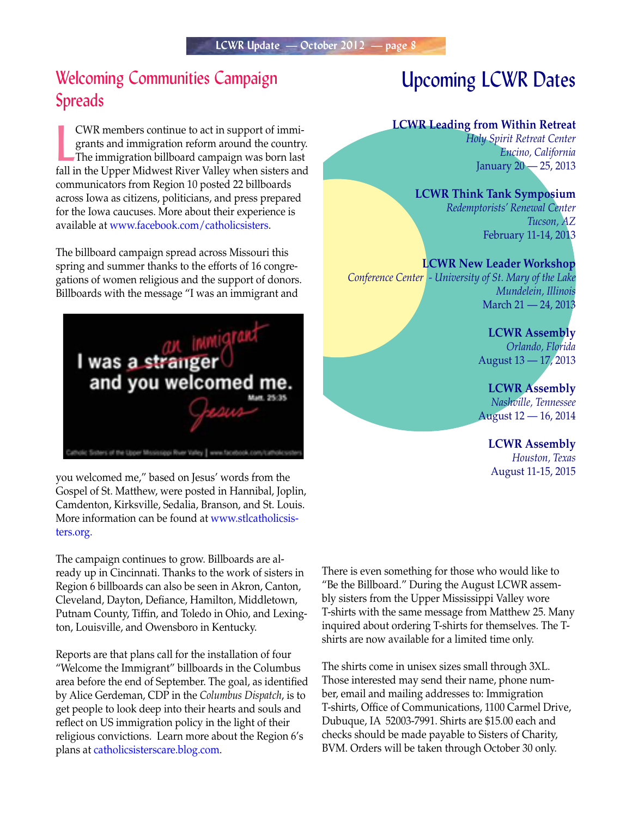## Welcoming Communities Campaign Spreads

EWR members continue to act in support of immigrants and immigration reform around the country.<br>The immigration billboard campaign was born last fall in the Upper Midwest River Valley when sisters and CWR members continue to act in support of immigrants and immigration reform around the country. The immigration billboard campaign was born last communicators from Region 10 posted 22 billboards across Iowa as citizens, politicians, and press prepared for the Iowa caucuses. More about their experience is available at [www.facebook.com/catholicsisters.](http://www.facebook.com/catholicsisters) 

The billboard campaign spread across Missouri this spring and summer thanks to the efforts of 16 congregations of women religious and the support of donors. Billboards with the message "I was an immigrant and



you welcomed me," based on Jesus' words from the Gospel of St. Matthew, were posted in Hannibal, Joplin, Camdenton, Kirksville, Sedalia, Branson, and St. Louis. [More information can be found at www.stlcatholicsis](http://www.stlcatholicsisters.org)ters.org.

The campaign continues to grow. Billboards are already up in Cincinnati. Thanks to the work of sisters in Region 6 billboards can also be seen in Akron, Canton, Cleveland, Dayton, Defiance, Hamilton, Middletown, Putnam County, Tiffin, and Toledo in Ohio, and Lexington, Louisville, and Owensboro in Kentucky.

Reports are that plans call for the installation of four "Welcome the Immigrant" billboards in the Columbus area before the end of September. The goal, as identified by Alice Gerdeman, CDP in the *Columbus Dispatch*, is to get people to look deep into their hearts and souls and reflect on US immigration policy in the light of their religious convictions. Learn more about the Region 6's plans a[t catholicsisterscare.blog.com.](http://catholicsisterscare.blog.com)

# Upcoming LCWR Dates

#### **LCWR Leading from Within Retreat**

*Holy Spirit Retreat Center Encino, California* January 20 — 25, 2013

#### **LCWR Think Tank Symposium**

*Redemptorists' Renewal Center Tucson, AZ* February 11-14, 2013

#### **LCWR New Leader Workshop**

*Conference Center - University of St. Mary of the Lake Mundelein, Illinois* March 21 — 24, 2013

> **LCWR Assembly** *Orlando, Florida* August 13 — 17, 2013

> **LCWR Assembly** *Nashville, Tennessee* August 12 — 16, 2014

**LCWR Assembly** *Houston, Texas* August 11-15, 2015

There is even something for those who would like to "Be the Billboard." During the August LCWR assembly sisters from the Upper Mississippi Valley wore T-shirts with the same message from Matthew 25. Many inquired about ordering T-shirts for themselves. The Tshirts are now available for a limited time only.

The shirts come in unisex sizes small through 3XL. Those interested may send their name, phone number, email and mailing addresses to: Immigration T-shirts, Office of Communications, 1100 Carmel Drive, Dubuque, IA 52003-7991. Shirts are \$15.00 each and checks should be made payable to Sisters of Charity, BVM. Orders will be taken through October 30 only.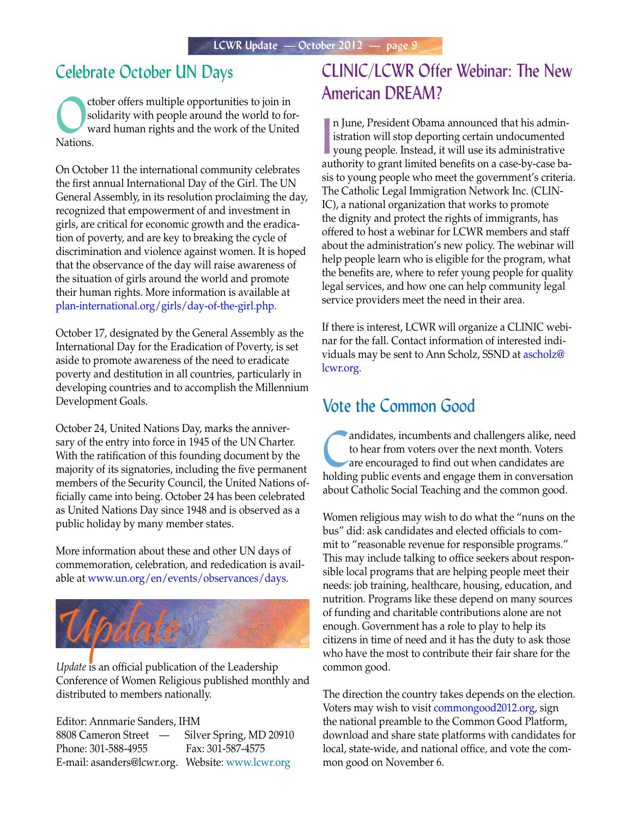### Celebrate October UN Days

Cober offers multiple opportunities to join in<br>solidarity with people around the world to formulated ward human rights and the work of the Unite solidarity with people around the world to forward human rights and the work of the United Nations.

On October 11 the international community celebrates the first annual International Day of the Girl. The UN General Assembly, in its resolution proclaiming the day, recognized that empowerment of and investment in girls, are critical for economic growth and the eradication of poverty, and are key to breaking the cycle of discrimination and violence against women. It is hoped that the observance of the day will raise awareness of the situation of girls around the world and promote their human rights. More information is available at [plan-international.org/girls/day-of-the-girl.php.](http://plan-international.org/girls/day-of-the-girl.php)

October 17, designated by the General Assembly as the International Day for the Eradication of Poverty, is set aside to promote awareness of the need to eradicate poverty and destitution in all countries, particularly in developing countries and to accomplish the Millennium Development Goals.

October 24, United Nations Day, marks the anniversary of the entry into force in 1945 of the UN Charter. With the ratification of this founding document by the majority of its signatories, including the five permanent members of the Security Council, the United Nations officially came into being. October 24 has been celebrated as United Nations Day since 1948 and is observed as a public holiday by many member states.

More information about these and other UN days of commemoration, celebration, and rededication is available at www.un.org/en/events/observances/days.



*Update* is an official publication of the Leadership Conference of Women Religious published monthly and distributed to members nationally.

Editor: Annmarie Sanders, IHM 8808 Cameron Street — Silver Spring, MD 20910 Phone: 301-588-4955 Fax: 301-587-4575 E-mail: asanders@lcwr.org. Website[: www.lcwr.org](http://www.lcwr.org)

## CLINIC/LCWR Offer Webinar: The New American DREAM?

n June, President Obama announced that his administration will stop deporting certain undocumented<br>young people. Instead, it will use its administrative istration will stop deporting certain undocumented young people. Instead, it will use its administrative authority to grant limited benefits on a case-by-case basis to young people who meet the government's criteria. The Catholic Legal Immigration Network Inc. (CLIN-IC), a national organization that works to promote the dignity and protect the rights of immigrants, has offered to host a webinar for LCWR members and staff about the administration's new policy. The webinar will help people learn who is eligible for the program, what the benefits are, where to refer young people for quality legal services, and how one can help community legal service providers meet the need in their area.

If there is interest, LCWR will organize a CLINIC webinar for the fall. Contact information of interested indi[viduals may be sent to Ann Scholz, SSND at ascholz@](mailto:ascholz@lcwr.org) lcwr.org.

#### Vote the Common Good

andidates, incumbents and challengers alike, need to hear from voters over the next month. Voters are encouraged to find out when candidates are holding public events and engage them in conversation about Catholic Social Teaching and the common good.

Women religious may wish to do what the "nuns on the bus" did: ask candidates and elected officials to commit to "reasonable revenue for responsible programs." This may include talking to office seekers about responsible local programs that are helping people meet their needs: job training, healthcare, housing, education, and nutrition. Programs like these depend on many sources of funding and charitable contributions alone are not enough. Government has a role to play to help its citizens in time of need and it has the duty to ask those who have the most to contribute their fair share for the common good.

The direction the country takes depends on the election. Voters may wish to visit [commongood2012.org,](http://commongood2012.org) sign the national preamble to the Common Good Platform, download and share state platforms with candidates for local, state-wide, and national office, and vote the common good on November 6.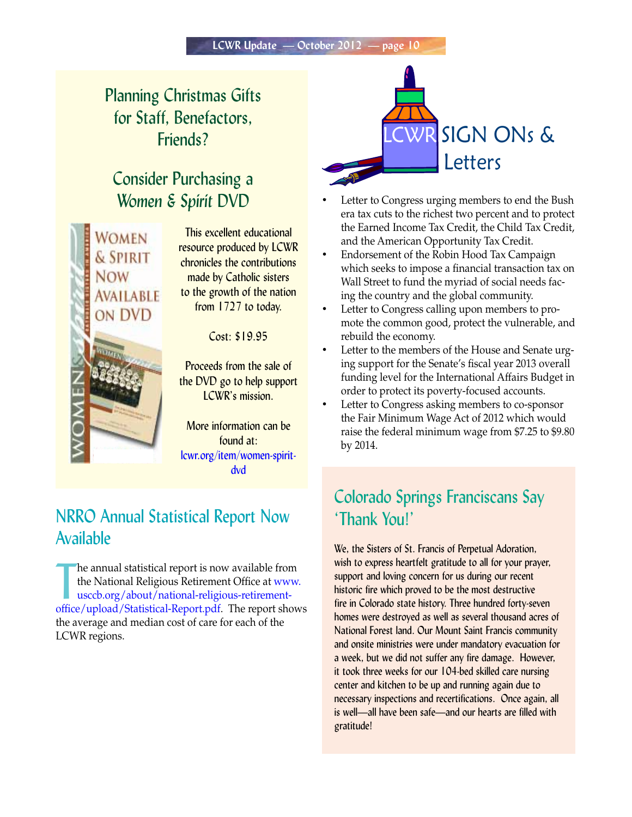# Planning Christmas Gifts for Staff, Benefactors, Friends?

### Consider Purchasing a *Women & Spirit* DVD



This excellent educational resource produced by LCWR chronicles the contributions made by Catholic sisters to the growth of the nation from 1727 to today.

Cost: \$19.95

Proceeds from the sale of the DVD go to help support LCWR's mission.

More information can be found at: [lcwr.org/item/women-spirit](http://cwr.org/item/women-spirit-dvd)dvd

### NRRO Annual Statistical Report Now Available

The annual statistical report is now available from<br>the National Religious Retirement Office at www.<br>usccb.org/about/national-religious-retirement-<br>[office/upload/Statistical-Report.pdf. The report shows](http://www.usccb.org/about/national-religious-retirement-office/upload/Statistical-Report.pdf) he annual statistical report is now available from the National Religious Retirement Office at www. usccb.org/about/national-religious-retirementthe average and median cost of care for each of the LCWR regions.



- Letter to Congress urging members to end the Bush era tax cuts to the richest two percent and to protect the Earned Income Tax Credit, the Child Tax Credit, and the American Opportunity Tax Credit.
- Endorsement of the Robin Hood Tax Campaign which seeks to impose a financial transaction tax on Wall Street to fund the myriad of social needs facing the country and the global community.
- Letter to Congress calling upon members to promote the common good, protect the vulnerable, and rebuild the economy.
- Letter to the members of the House and Senate urging support for the Senate's fiscal year 2013 overall funding level for the International Affairs Budget in order to protect its poverty-focused accounts.
- Letter to Congress asking members to co-sponsor the Fair Minimum Wage Act of 2012 which would raise the federal minimum wage from \$7.25 to \$9.80 by 2014.

# Colorado Springs Franciscans Say 'Thank You!'

We, the Sisters of St. Francis of Perpetual Adoration, wish to express heartfelt gratitude to all for your prayer, support and loving concern for us during our recent historic fire which proved to be the most destructive fire in Colorado state history. Three hundred forty-seven homes were destroyed as well as several thousand acres of National Forest land. Our Mount Saint Francis community and onsite ministries were under mandatory evacuation for a week, but we did not suffer any fire damage. However, it took three weeks for our 104-bed skilled care nursing center and kitchen to be up and running again due to necessary inspections and recertifications. Once again, all is well—all have been safe—and our hearts are filled with gratitude!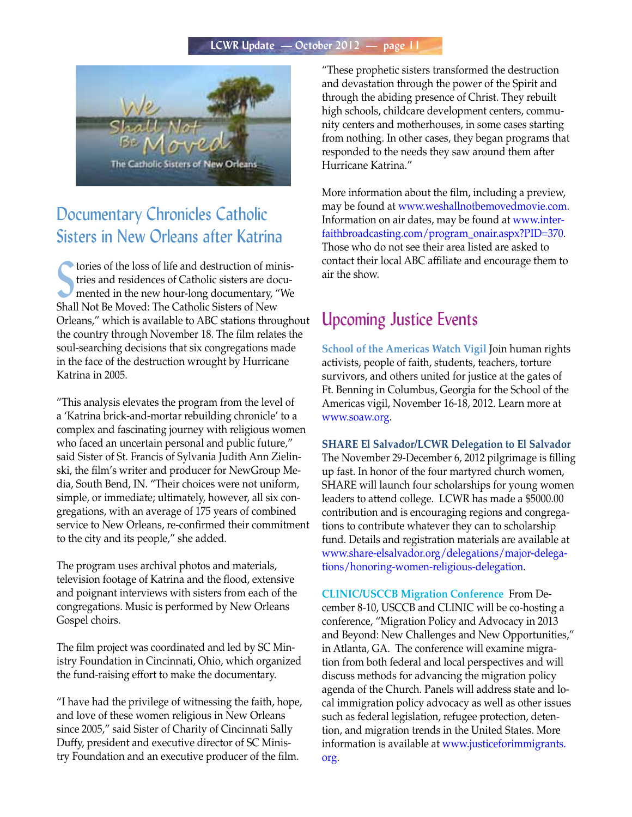#### **LCWR Update — October 2012 — page 11**



# Documentary Chronicles Catholic Sisters in New Orleans after Katrina

tories of the loss of life and destruction of mir<br>tries and residences of Catholic sisters are do<br>mented in the new hour-long documentary, "<br>Shall Not Be Moved: The Catholic Sisters of New tories of the loss of life and destruction of ministries and residences of Catholic sisters are documented in the new hour-long documentary, "We Orleans," which is available to ABC stations throughout the country through November 18. The film relates the soul-searching decisions that six congregations made in the face of the destruction wrought by Hurricane Katrina in 2005.

"This analysis elevates the program from the level of a 'Katrina brick-and-mortar rebuilding chronicle' to a complex and fascinating journey with religious women who faced an uncertain personal and public future," said Sister of St. Francis of Sylvania Judith Ann Zielinski, the film's writer and producer for NewGroup Media, South Bend, IN. "Their choices were not uniform, simple, or immediate; ultimately, however, all six congregations, with an average of 175 years of combined service to New Orleans, re-confirmed their commitment to the city and its people," she added.

The program uses archival photos and materials, television footage of Katrina and the flood, extensive and poignant interviews with sisters from each of the congregations. Music is performed by New Orleans Gospel choirs.

The film project was coordinated and led by SC Ministry Foundation in Cincinnati, Ohio, which organized the fund-raising effort to make the documentary.

"I have had the privilege of witnessing the faith, hope, and love of these women religious in New Orleans since 2005," said Sister of Charity of Cincinnati Sally Duffy, president and executive director of SC Ministry Foundation and an executive producer of the film.

"These prophetic sisters transformed the destruction and devastation through the power of the Spirit and through the abiding presence of Christ. They rebuilt high schools, childcare development centers, community centers and motherhouses, in some cases starting from nothing. In other cases, they began programs that responded to the needs they saw around them after Hurricane Katrina."

More information about the film, including a preview, may be found at [www.weshallnotbemovedmovie.com.](http://www.weshallnotbemovedmovie.com)  [Information on air dates, may be found at www.inter](http://www.inter-faithbroadcasting.com/program_onair.aspx?PID=370)faithbroadcasting.com/program\_onair.aspx?PID=370. Those who do not see their area listed are asked to contact their local ABC affiliate and encourage them to air the show.

### Upcoming Justice Events

**School of the Americas Watch Vigil** Join human rights activists, people of faith, students, teachers, torture survivors, and others united for justice at the gates of Ft. Benning in Columbus, Georgia for the School of the Americas vigil, November 16-18, 2012. Learn more at www.soaw.org.

**SHARE El Salvador/LCWR Delegation to El Salvador** The November 29-December 6, 2012 pilgrimage is filling up fast. In honor of the four martyred church women, SHARE will launch four scholarships for young women leaders to attend college. LCWR has made a \$5000.00 contribution and is encouraging regions and congregations to contribute whatever they can to scholarship fund. Details and registration materials are available at [www.share-elsalvador.org/delegations/major-delega](http://www.share-elsalvador.org/delegations/major-delegations/honoring-women-religious-delegation)tions/honoring-women-religious-delegation.

**CLINIC/USCCB Migration Conference** From December 8-10, USCCB and CLINIC will be co-hosting a conference, "Migration Policy and Advocacy in 2013 and Beyond: New Challenges and New Opportunities," in Atlanta, GA. The conference will examine migration from both federal and local perspectives and will discuss methods for advancing the migration policy agenda of the Church. Panels will address state and local immigration policy advocacy as well as other issues such as federal legislation, refugee protection, detention, and migration trends in the United States. More [information is available at www.justiceforimmigrants.](http://www.justiceforimmigrants.org) org.